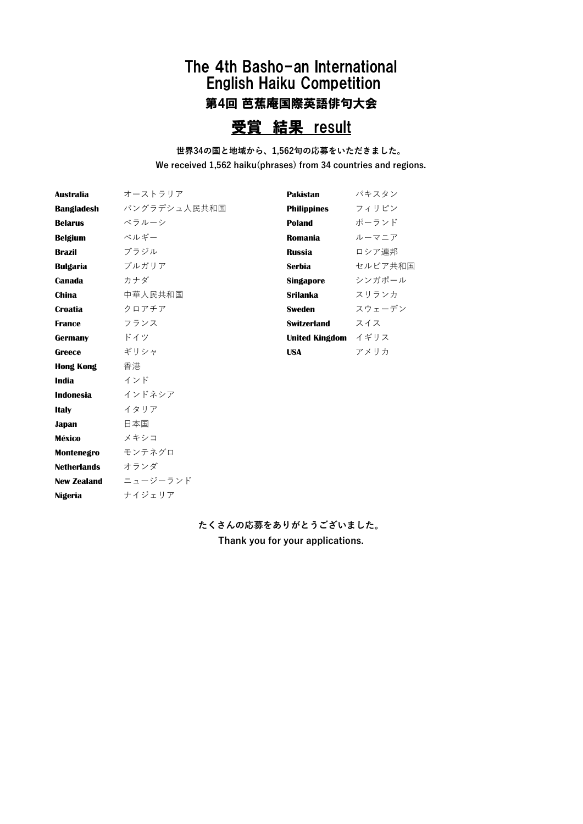## The 4th Basho-an International English Haiku Competition 第4回 芭蕉庵国際英語俳句大会

## 受賞 結果 result

世界34の国と地域から、1,562句の応募をいただきました。 We received 1,562 haiku(phrases) from 34 countries and regions.

| <b>Australia</b>   | オーストラリア      | <b>Pakistan</b>       | パキスタン   |
|--------------------|--------------|-----------------------|---------|
| <b>Bangladesh</b>  | バングラデシュ人民共和国 | <b>Philippines</b>    | フィリピン   |
| <b>Belarus</b>     | ベラルーシ        | <b>Poland</b>         | ポーランド   |
| <b>Belgium</b>     | ベルギー         | Romania               | ルーマニア   |
| <b>Brazil</b>      | ブラジル         | <b>Russia</b>         | ロシア連邦   |
| <b>Bulgaria</b>    | ブルガリア        | <b>Serbia</b>         | セルビア共和国 |
| <b>Canada</b>      | カナダ          | Singapore             | シンガポール  |
| <b>China</b>       | 中華人民共和国      | <b>Srilanka</b>       | スリランカ   |
| <b>Croatia</b>     | クロアチア        | <b>Sweden</b>         | スウェーデン  |
| <b>France</b>      | フランス         | <b>Switzerland</b>    | スイス     |
| <b>Germany</b>     | ドイツ          | <b>United Kingdom</b> | イギリス    |
| <b>Greece</b>      | ギリシャ         | <b>USA</b>            | アメリカ    |
| <b>Hong Kong</b>   | 香港           |                       |         |
| <b>India</b>       | インド          |                       |         |
| <b>Indonesia</b>   | インドネシア       |                       |         |
| <b>Italy</b>       | イタリア         |                       |         |
| <b>Japan</b>       | 日本国          |                       |         |
| <b>México</b>      | メキシコ         |                       |         |
| <b>Montenegro</b>  | モンテネグロ       |                       |         |
| <b>Netherlands</b> | オランダ         |                       |         |
| <b>New Zealand</b> | ニュージーランド     |                       |         |

Nigeria ナイジェリア

たくさんの応募をありがとうございました。

Thank you for your applications.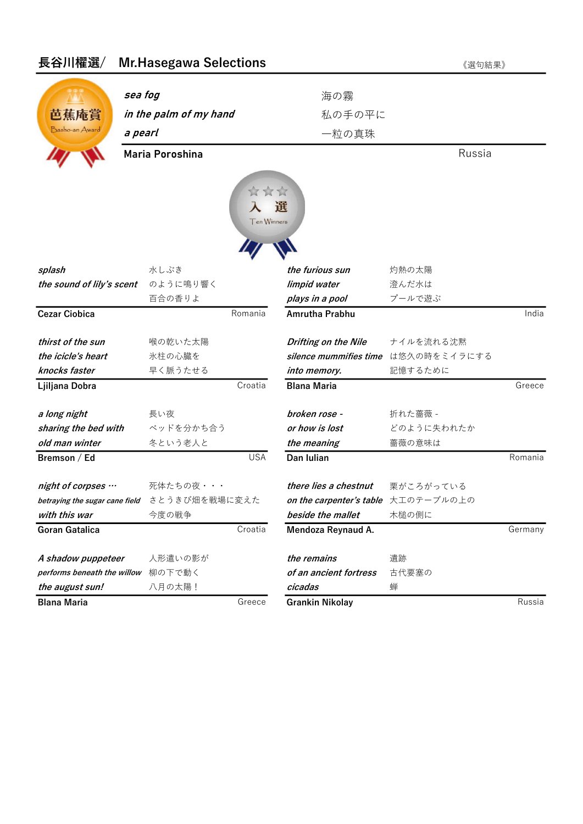| 長谷川櫂選/                         | <b>Mr.Hasegawa Selections</b> |             |                                     | 《選句結果》       |         |
|--------------------------------|-------------------------------|-------------|-------------------------------------|--------------|---------|
|                                | sea fog                       |             | 海の霧                                 |              |         |
|                                |                               |             |                                     |              |         |
| 芭蕉庵賞                           | in the palm of my hand        |             | 私の手の平に                              |              |         |
| Basho-an Award                 | a pearl                       |             | 一粒の真珠                               |              |         |
|                                | <b>Maria Poroshina</b>        |             |                                     | Russia       |         |
|                                |                               | ***         |                                     |              |         |
|                                |                               | Ten Winners | 選                                   |              |         |
| splash                         | 水しぶき                          |             | the furious sun                     | 灼熱の太陽        |         |
| the sound of lily's scent      | のように鳴り響く                      |             | limpid water                        | 澄んだ水は        |         |
|                                | 百合の香りよ                        |             | plays in a pool                     | プールで遊ぶ       |         |
| <b>Cezar Ciobica</b>           |                               | Romania     | Amrutha Prabhu                      |              | India   |
| thirst of the sun              | 喉の乾いた太陽                       |             | Drifting on the Nile                | ナイルを流れる沈黙    |         |
| the icicle's heart             | 氷柱の心臓を                        |             | silence mummifies time              | は悠久の時をミイラにする |         |
| knocks faster                  | 早く脈うたせる                       |             | into memory.                        | 記憶するために      |         |
| Ljiljana Dobra                 |                               | Croatia     | <b>Blana Maria</b>                  |              | Greece  |
| a long night                   | 長い夜                           |             | broken rose -                       | 折れた薔薇 -      |         |
| sharing the bed with           | ベッドを分かち合う                     |             | or how is lost                      | どのように失われたか   |         |
| old man winter                 | 冬という老人と                       |             | the meaning                         | 薔薇の意味は       |         |
| Bremson / Ed                   |                               | <b>USA</b>  | Dan Iulian                          |              | Romania |
| night of corpses               | 死体たちの夜・・・                     |             | there lies a chestnut               | 栗がころがっている    |         |
| betraying the sugar cane field | さとうきび畑を戦場に変えた                 |             | on the carpenter's table 大工のテーブルの上の |              |         |
| with this war                  | 今度の戦争                         |             | beside the mallet                   | 木槌の側に        |         |
| Goran Gatalica                 |                               | Croatia     | Mendoza Reynaud A.                  |              | Germany |
| A shadow puppeteer             | 人形遣いの影が                       |             | the remains                         | 遺跡           |         |
| performs beneath the willow    | 柳の下で動く                        |             | of an ancient fortress              | 古代要塞の        |         |
| the august sun!                | 八月の太陽!                        |             | cicadas                             | 蝉            |         |
| <b>Blana Maria</b>             |                               | Greece      | <b>Grankin Nikolay</b>              |              | Russia  |

## ⾧谷川櫂選/ Mr.Hasegawa Selections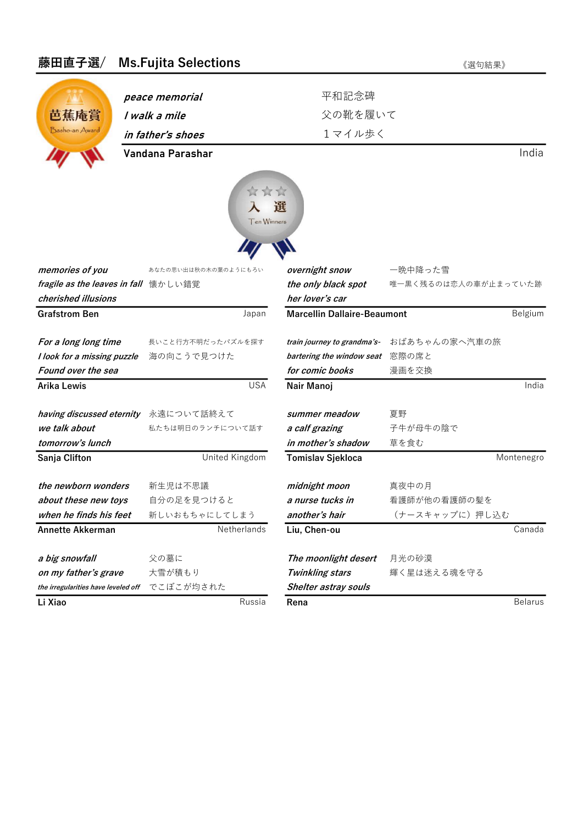| ᅏᄖᄇᇰᄰ⁄                               | ניוטוויט טטועט וויטויי               |                                    | ∥ 迭 Yਸ□木∥            |            |
|--------------------------------------|--------------------------------------|------------------------------------|----------------------|------------|
|                                      |                                      |                                    |                      |            |
|                                      | peace memorial                       | 平和記念碑                              |                      |            |
| 芭蕉庵賞                                 | I walk a mile                        | 父の靴を履いて                            |                      |            |
| Basho-an Award                       | in father's shoes                    | 1マイル歩く                             |                      |            |
|                                      | Vandana Parashar                     |                                    |                      | India      |
|                                      | ***<br>Ten Winners                   | 選                                  |                      |            |
| memories of you                      | あなたの思い出は秋の木の葉のようにもろい                 | overnight snow                     | 一晩中降った雪              |            |
| fragile as the leaves in fall 懐かしい錯覚 |                                      | the only black spot                | 唯一黒く残るのは恋人の車が止まっていた跡 |            |
| cherished illusions                  |                                      | her lover's car                    |                      |            |
| <b>Grafstrom Ben</b>                 | Japan                                | <b>Marcellin Dallaire-Beaumont</b> |                      | Belgium    |
| For a long long time                 | 長いこと行方不明だったパズルを探す                    | train journey to grandma's-        | おばあちゃんの家へ汽車の旅        |            |
| I look for a missing puzzle          | 海の向こうで見つけた                           | bartering the window seat          | 窓際の席と                |            |
| Found over the sea                   |                                      | for comic books                    | 漫画を交換                |            |
| Arika Lewis                          | <b>USA</b>                           | Nair Manoj                         |                      | India      |
|                                      | having discussed eternity 永遠について話終えて | summer meadow                      | 夏野                   |            |
| we talk about                        | 私たちは明日のランチについて話す                     | a calf grazing                     | 子牛が母牛の陰で             |            |
| tomorrow's lunch                     |                                      | in mother's shadow                 | 草を食む                 |            |
| Sanja Clifton                        | United Kingdom                       | <b>Tomislav Sjekloca</b>           |                      | Montenegro |
| the newborn wonders                  | 新生児は不思議                              | midnight moon                      | 真夜中の月                |            |
| about these new toys                 | 自分の足を見つけると                           | a nurse tucks in                   | 看護師が他の看護師の髪を         |            |
| when he finds his feet               | 新しいおもちゃにしてしまう                        | another's hair                     | (ナースキャップに)押し込む       |            |
| Annette Akkerman                     | <b>Netherlands</b>                   | Liu, Chen-ou                       |                      | Canada     |
| a big snowfall                       | 父の墓に                                 | The moonlight desert               | 月光の砂漠                |            |
| on my father's grave                 | 大雪が積もり                               | <b>Twinkling stars</b>             | 輝く星は迷える魂を守る          |            |

## 藤田直子選/ Ms.Fujita Selections

the irregularities have leveled off でこぼこが均された

《選句結果》

Li Xiao **Rana amin'ny fisiana desimaly. Ny faritr'i Normandie, ao amin'ny faritr'i Normandie, ao Frantsa. Ny faritr'i Normandie, ao Frantsa. Ny faritr'i Normandie, ao Frantsa. Ny faritr'i Normandie, ao amin'ny faritr'i Nor** Russia

Shelter astray souls

Belarus